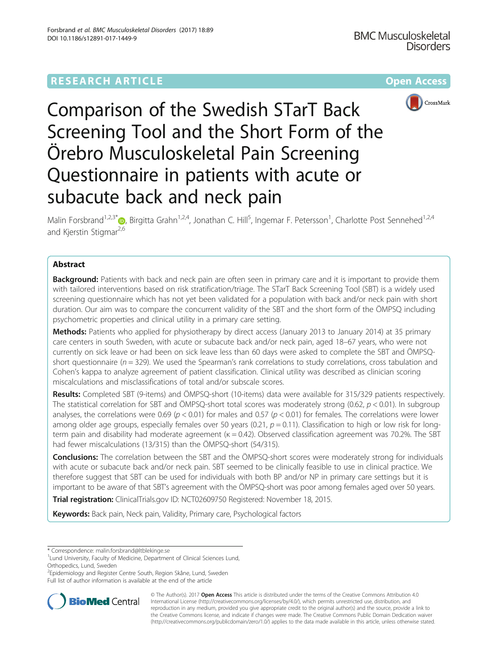# **RESEARCH ARTICLE Example 2014 12:30 The Community Community Community Community Community Community Community**



Comparison of the Swedish STarT Back Screening Tool and the Short Form of the Örebro Musculoskeletal Pain Screening Questionnaire in patients with acute or subacute back and neck pain

Malin Forsbrand<sup>1,2,3[\\*](http://orcid.org/0000-0002-3636-5760)</sup>®, Birgitta Grahn<sup>1,2,4</sup>, Jonathan C. Hill<sup>5</sup>, Ingemar F. Petersson<sup>1</sup>, Charlotte Post Sennehed<sup>1,2,4</sup> and Kjerstin Stigmar<sup>2,6</sup>

# Abstract

**Background:** Patients with back and neck pain are often seen in primary care and it is important to provide them with tailored interventions based on risk stratification/triage. The STarT Back Screening Tool (SBT) is a widely used screening questionnaire which has not yet been validated for a population with back and/or neck pain with short duration. Our aim was to compare the concurrent validity of the SBT and the short form of the ÖMPSQ including psychometric properties and clinical utility in a primary care setting.

Methods: Patients who applied for physiotherapy by direct access (January 2013 to January 2014) at 35 primary care centers in south Sweden, with acute or subacute back and/or neck pain, aged 18–67 years, who were not currently on sick leave or had been on sick leave less than 60 days were asked to complete the SBT and ÖMPSQshort questionnaire ( $n = 329$ ). We used the Spearman's rank correlations to study correlations, cross tabulation and Cohen's kappa to analyze agreement of patient classification. Clinical utility was described as clinician scoring miscalculations and misclassifications of total and/or subscale scores.

Results: Completed SBT (9-items) and ÖMPSQ-short (10-items) data were available for 315/329 patients respectively. The statistical correlation for SBT and ÖMPSQ-short total scores was moderately strong (0.62,  $p < 0.01$ ). In subgroup analyses, the correlations were 0.69 ( $p < 0.01$ ) for males and 0.57 ( $p < 0.01$ ) for females. The correlations were lower among older age groups, especially females over 50 years (0.21,  $p = 0.11$ ). Classification to high or low risk for longterm pain and disability had moderate agreement ( $\kappa = 0.42$ ). Observed classification agreement was 70.2%. The SBT had fewer miscalculations (13/315) than the ÖMPSQ-short (54/315).

**Conclusions:** The correlation between the SBT and the ÖMPSQ-short scores were moderately strong for individuals with acute or subacute back and/or neck pain. SBT seemed to be clinically feasible to use in clinical practice. We therefore suggest that SBT can be used for individuals with both BP and/or NP in primary care settings but it is important to be aware of that SBT's agreement with the ÖMPSQ-short was poor among females aged over 50 years.

Trial registration: ClinicalTrials.gov ID: [NCT02609750](https://clinicaltrials.gov/ct2/show/NCT02609750?term=WorkUp&rank=1) Registered: November 18, 2015.

Keywords: Back pain, Neck pain, Validity, Primary care, Psychological factors

\* Correspondence: [malin.forsbrand@ltblekinge.se](mailto:malin.forsbrand@ltblekinge.se) <sup>1</sup>

<sup>2</sup>Epidemiology and Register Centre South, Region Skåne, Lund, Sweden Full list of author information is available at the end of the article



© The Author(s). 2017 **Open Access** This article is distributed under the terms of the Creative Commons Attribution 4.0 International License [\(http://creativecommons.org/licenses/by/4.0/](http://creativecommons.org/licenses/by/4.0/)), which permits unrestricted use, distribution, and reproduction in any medium, provided you give appropriate credit to the original author(s) and the source, provide a link to the Creative Commons license, and indicate if changes were made. The Creative Commons Public Domain Dedication waiver [\(http://creativecommons.org/publicdomain/zero/1.0/](http://creativecommons.org/publicdomain/zero/1.0/)) applies to the data made available in this article, unless otherwise stated.

<sup>&</sup>lt;sup>1</sup> Lund University, Faculty of Medicine, Department of Clinical Sciences Lund, Orthopedics, Lund, Sweden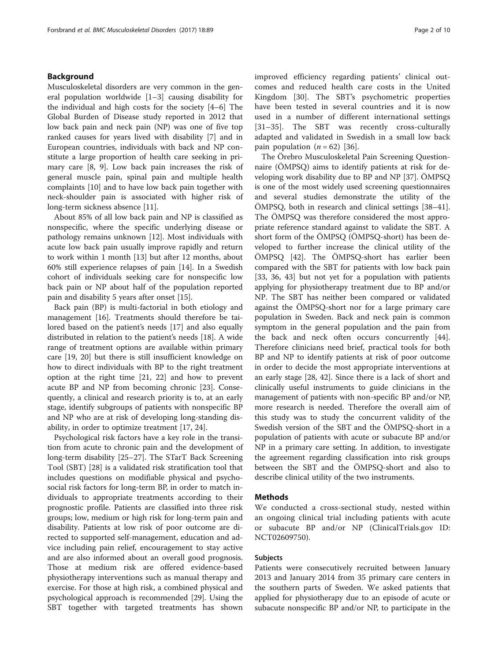## Background

Musculoskeletal disorders are very common in the general population worldwide [\[1](#page-7-0)–[3\]](#page-8-0) causing disability for the individual and high costs for the society [\[4](#page-8-0)–[6](#page-8-0)] The Global Burden of Disease study reported in 2012 that low back pain and neck pain (NP) was one of five top ranked causes for years lived with disability [[7\]](#page-8-0) and in European countries, individuals with back and NP constitute a large proportion of health care seeking in primary care [\[8](#page-8-0), [9](#page-8-0)]. Low back pain increases the risk of general muscle pain, spinal pain and multiple health complaints [[10\]](#page-8-0) and to have low back pain together with neck-shoulder pain is associated with higher risk of long-term sickness absence [\[11](#page-8-0)].

About 85% of all low back pain and NP is classified as nonspecific, where the specific underlying disease or pathology remains unknown [\[12](#page-8-0)]. Most individuals with acute low back pain usually improve rapidly and return to work within 1 month [[13\]](#page-8-0) but after 12 months, about 60% still experience relapses of pain [[14\]](#page-8-0). In a Swedish cohort of individuals seeking care for nonspecific low back pain or NP about half of the population reported pain and disability 5 years after onset [\[15](#page-8-0)].

Back pain (BP) is multi-factorial in both etiology and management [\[16](#page-8-0)]. Treatments should therefore be tailored based on the patient's needs [[17](#page-8-0)] and also equally distributed in relation to the patient's needs [\[18\]](#page-8-0). A wide range of treatment options are available within primary care [[19](#page-8-0), [20](#page-8-0)] but there is still insufficient knowledge on how to direct individuals with BP to the right treatment option at the right time [\[21](#page-8-0), [22](#page-8-0)] and how to prevent acute BP and NP from becoming chronic [\[23\]](#page-8-0). Consequently, a clinical and research priority is to, at an early stage, identify subgroups of patients with nonspecific BP and NP who are at risk of developing long-standing disability, in order to optimize treatment [\[17](#page-8-0), [24\]](#page-8-0).

Psychological risk factors have a key role in the transition from acute to chronic pain and the development of long-term disability [\[25](#page-8-0)–[27\]](#page-8-0). The STarT Back Screening Tool (SBT) [[28](#page-8-0)] is a validated risk stratification tool that includes questions on modifiable physical and psychosocial risk factors for long-term BP, in order to match individuals to appropriate treatments according to their prognostic profile. Patients are classified into three risk groups; low, medium or high risk for long-term pain and disability. Patients at low risk of poor outcome are directed to supported self-management, education and advice including pain relief, encouragement to stay active and are also informed about an overall good prognosis. Those at medium risk are offered evidence-based physiotherapy interventions such as manual therapy and exercise. For those at high risk, a combined physical and psychological approach is recommended [[29\]](#page-8-0). Using the SBT together with targeted treatments has shown improved efficiency regarding patients' clinical outcomes and reduced health care costs in the United Kingdom [\[30](#page-8-0)]. The SBT's psychometric properties have been tested in several countries and it is now used in a number of different international settings [[31](#page-8-0)–[35\]](#page-8-0). The SBT was recently cross-culturally adapted and validated in Swedish in a small low back pain population  $(n = 62)$  [\[36](#page-8-0)].

The Örebro Musculoskeletal Pain Screening Questionnaire (ÖMPSQ) aims to identify patients at risk for developing work disability due to BP and NP [[37](#page-8-0)]. ÖMPSQ is one of the most widely used screening questionnaires and several studies demonstrate the utility of the ÖMPSQ, both in research and clinical settings [[38](#page-8-0)–[41](#page-8-0)]. The ÖMPSQ was therefore considered the most appropriate reference standard against to validate the SBT. A short form of the ÖMPSQ (ÖMPSQ-short) has been developed to further increase the clinical utility of the ÖMPSQ [[42](#page-8-0)]. The ÖMPSQ-short has earlier been compared with the SBT for patients with low back pain [[33, 36](#page-8-0), [43](#page-8-0)] but not yet for a population with patients applying for physiotherapy treatment due to BP and/or NP. The SBT has neither been compared or validated against the ÖMPSQ-short nor for a large primary care population in Sweden. Back and neck pain is common symptom in the general population and the pain from the back and neck often occurs concurrently [\[44](#page-8-0)]. Therefore clinicians need brief, practical tools for both BP and NP to identify patients at risk of poor outcome in order to decide the most appropriate interventions at an early stage [[28](#page-8-0), [42\]](#page-8-0). Since there is a lack of short and clinically useful instruments to guide clinicians in the management of patients with non-specific BP and/or NP, more research is needed. Therefore the overall aim of this study was to study the concurrent validity of the Swedish version of the SBT and the ÖMPSQ-short in a population of patients with acute or subacute BP and/or NP in a primary care setting. In addition, to investigate the agreement regarding classification into risk groups between the SBT and the ÖMPSQ-short and also to describe clinical utility of the two instruments.

### Methods

We conducted a cross-sectional study, nested within an ongoing clinical trial including patients with acute or subacute BP and/or NP (ClinicalTrials.gov ID: NCT02609750).

### Subjects

Patients were consecutively recruited between January 2013 and January 2014 from 35 primary care centers in the southern parts of Sweden. We asked patients that applied for physiotherapy due to an episode of acute or subacute nonspecific BP and/or NP, to participate in the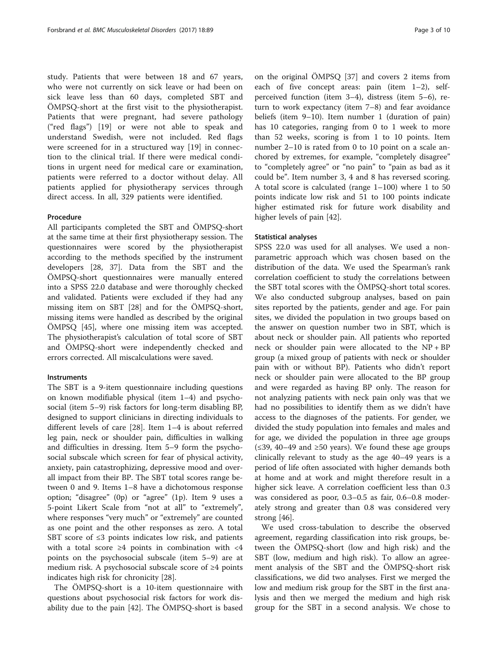study. Patients that were between 18 and 67 years, who were not currently on sick leave or had been on sick leave less than 60 days, completed SBT and ÖMPSQ-short at the first visit to the physiotherapist. Patients that were pregnant, had severe pathology ("red flags") [[19\]](#page-8-0) or were not able to speak and understand Swedish, were not included. Red flags were screened for in a structured way [[19\]](#page-8-0) in connection to the clinical trial. If there were medical conditions in urgent need for medical care or examination, patients were referred to a doctor without delay. All patients applied for physiotherapy services through direct access. In all, 329 patients were identified.

### Procedure

All participants completed the SBT and ÖMPSQ-short at the same time at their first physiotherapy session. The questionnaires were scored by the physiotherapist according to the methods specified by the instrument developers [\[28](#page-8-0), [37\]](#page-8-0). Data from the SBT and the ÖMPSQ-short questionnaires were manually entered into a SPSS 22.0 database and were thoroughly checked and validated. Patients were excluded if they had any missing item on SBT [[28](#page-8-0)] and for the ÖMPSQ-short, missing items were handled as described by the original ÖMPSQ [\[45](#page-8-0)], where one missing item was accepted. The physiotherapist's calculation of total score of SBT and ÖMPSQ-short were independently checked and errors corrected. All miscalculations were saved.

### Instruments

The SBT is a 9-item questionnaire including questions on known modifiable physical (item 1–4) and psychosocial (item 5–9) risk factors for long-term disabling BP, designed to support clinicians in directing individuals to different levels of care [\[28\]](#page-8-0). Item 1–4 is about referred leg pain, neck or shoulder pain, difficulties in walking and difficulties in dressing. Item 5–9 form the psychosocial subscale which screen for fear of physical activity, anxiety, pain catastrophizing, depressive mood and overall impact from their BP. The SBT total scores range between 0 and 9. Items 1–8 have a dichotomous response option; "disagree" (0p) or "agree" (1p). Item 9 uses a 5-point Likert Scale from "not at all" to "extremely", where responses "very much" or "extremely" are counted as one point and the other responses as zero. A total SBT score of  $\leq$ 3 points indicates low risk, and patients with a total score  $\geq 4$  points in combination with  $\lt 4$ points on the psychosocial subscale (item 5–9) are at medium risk. A psychosocial subscale score of ≥4 points indicates high risk for chronicity [[28\]](#page-8-0).

The ÖMPSQ-short is a 10-item questionnaire with questions about psychosocial risk factors for work disability due to the pain [\[42\]](#page-8-0). The ÖMPSQ-short is based

on the original ÖMPSQ [\[37](#page-8-0)] and covers 2 items from each of five concept areas: pain (item 1–2), selfperceived function (item 3–4), distress (item 5–6), return to work expectancy (item 7–8) and fear avoidance beliefs (item 9–10). Item number 1 (duration of pain) has 10 categories, ranging from 0 to 1 week to more than 52 weeks, scoring is from 1 to 10 points. Item number 2–10 is rated from 0 to 10 point on a scale anchored by extremes, for example, "completely disagree" to "completely agree" or "no pain" to "pain as bad as it could be". Item number 3, 4 and 8 has reversed scoring. A total score is calculated (range 1–100) where 1 to 50 points indicate low risk and 51 to 100 points indicate higher estimated risk for future work disability and higher levels of pain [[42](#page-8-0)].

### Statistical analyses

SPSS 22.0 was used for all analyses. We used a nonparametric approach which was chosen based on the distribution of the data. We used the Spearman's rank correlation coefficient to study the correlations between the SBT total scores with the ÖMPSQ-short total scores. We also conducted subgroup analyses, based on pain sites reported by the patients, gender and age. For pain sites, we divided the population in two groups based on the answer on question number two in SBT, which is about neck or shoulder pain. All patients who reported neck or shoulder pain were allocated to the  $NP + BP$ group (a mixed group of patients with neck or shoulder pain with or without BP). Patients who didn't report neck or shoulder pain were allocated to the BP group and were regarded as having BP only. The reason for not analyzing patients with neck pain only was that we had no possibilities to identify them as we didn't have access to the diagnoses of the patients. For gender, we divided the study population into females and males and for age, we divided the population in three age groups (≤39, 40–49 and ≥50 years). We found these age groups clinically relevant to study as the age 40–49 years is a period of life often associated with higher demands both at home and at work and might therefore result in a higher sick leave. A correlation coefficient less than 0.3 was considered as poor, 0.3–0.5 as fair, 0.6–0.8 moderately strong and greater than 0.8 was considered very strong [[46\]](#page-8-0).

We used cross-tabulation to describe the observed agreement, regarding classification into risk groups, between the ÖMPSQ-short (low and high risk) and the SBT (low, medium and high risk). To allow an agreement analysis of the SBT and the ÖMPSQ-short risk classifications, we did two analyses. First we merged the low and medium risk group for the SBT in the first analysis and then we merged the medium and high risk group for the SBT in a second analysis. We chose to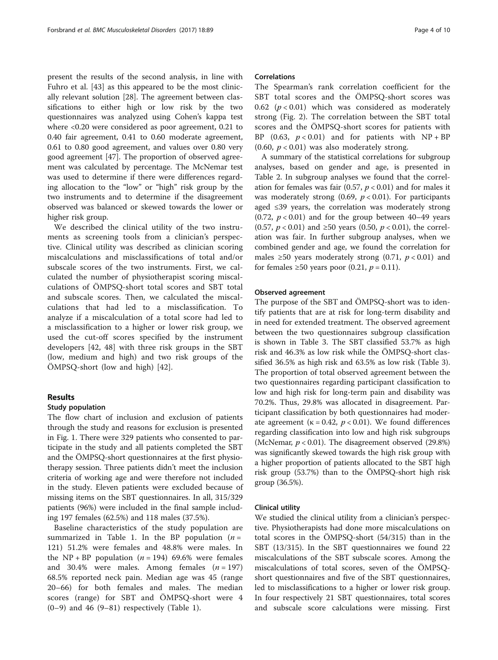present the results of the second analysis, in line with Fuhro et al. [\[43\]](#page-8-0) as this appeared to be the most clinically relevant solution [[28\]](#page-8-0). The agreement between classifications to either high or low risk by the two questionnaires was analyzed using Cohen's kappa test where <0.20 were considered as poor agreement, 0.21 to 0.40 fair agreement, 0.41 to 0.60 moderate agreement, 0.61 to 0.80 good agreement, and values over 0.80 very good agreement [\[47\]](#page-8-0). The proportion of observed agreement was calculated by percentage. The McNemar test was used to determine if there were differences regarding allocation to the "low" or "high" risk group by the two instruments and to determine if the disagreement observed was balanced or skewed towards the lower or higher risk group.

We described the clinical utility of the two instruments as screening tools from a clinician's perspective. Clinical utility was described as clinician scoring miscalculations and misclassifications of total and/or subscale scores of the two instruments. First, we calculated the number of physiotherapist scoring miscalculations of ÖMPSQ-short total scores and SBT total and subscale scores. Then, we calculated the miscalculations that had led to a misclassification. To analyze if a miscalculation of a total score had led to a misclassification to a higher or lower risk group, we used the cut-off scores specified by the instrument developers [[42](#page-8-0), [48](#page-8-0)] with three risk groups in the SBT (low, medium and high) and two risk groups of the ÖMPSQ-short (low and high) [\[42](#page-8-0)].

### Results

### Study population

The flow chart of inclusion and exclusion of patients through the study and reasons for exclusion is presented in Fig. [1](#page-4-0). There were 329 patients who consented to participate in the study and all patients completed the SBT and the ÖMPSQ-short questionnaires at the first physiotherapy session. Three patients didn't meet the inclusion criteria of working age and were therefore not included in the study. Eleven patients were excluded because of missing items on the SBT questionnaires. In all, 315/329 patients (96%) were included in the final sample including 197 females (62.5%) and 118 males (37.5%).

Baseline characteristics of the study population are summarized in Table [1](#page-4-0). In the BP population  $(n =$ 121) 51.2% were females and 48.8% were males. In the NP + BP population  $(n = 194)$  69.6% were females and 30.4% were males. Among females  $(n = 197)$ 68.5% reported neck pain. Median age was 45 (range 20–66) for both females and males. The median scores (range) for SBT and ÖMPSQ-short were 4  $(0-9)$  and 46  $(9-81)$  respectively (Table [1](#page-4-0)).

#### Correlations

The Spearman's rank correlation coefficient for the SBT total scores and the ÖMPSQ-short scores was 0.62 ( $p < 0.01$ ) which was considered as moderately strong (Fig. [2](#page-5-0)). The correlation between the SBT total scores and the ÖMPSQ-short scores for patients with BP (0.63,  $p < 0.01$ ) and for patients with NP + BP  $(0.60, p < 0.01)$  was also moderately strong.

A summary of the statistical correlations for subgroup analyses, based on gender and age, is presented in Table [2](#page-5-0). In subgroup analyses we found that the correlation for females was fair (0.57,  $p < 0.01$ ) and for males it was moderately strong  $(0.69, p < 0.01)$ . For participants aged ≤39 years, the correlation was moderately strong  $(0.72, p < 0.01)$  and for the group between 40–49 years (0.57,  $p$  < 0.01) and ≥50 years (0.50,  $p$  < 0.01), the correlation was fair. In further subgroup analyses, when we combined gender and age, we found the correlation for males  $\geq 50$  years moderately strong (0.71,  $p < 0.01$ ) and for females  $\geq 50$  years poor (0.21,  $p = 0.11$ ).

### Observed agreement

The purpose of the SBT and ÖMPSQ-short was to identify patients that are at risk for long-term disability and in need for extended treatment. The observed agreement between the two questionnaires subgroup classification is shown in Table [3](#page-6-0). The SBT classified 53.7% as high risk and 46.3% as low risk while the ÖMPSQ-short classified 36.5% as high risk and 63.5% as low risk (Table [3](#page-6-0)). The proportion of total observed agreement between the two questionnaires regarding participant classification to low and high risk for long-term pain and disability was 70.2%. Thus, 29.8% was allocated in disagreement. Participant classification by both questionnaires had moderate agreement ( $\kappa = 0.42$ ,  $p < 0.01$ ). We found differences regarding classification into low and high risk subgroups (McNemar,  $p < 0.01$ ). The disagreement observed (29.8%) was significantly skewed towards the high risk group with a higher proportion of patients allocated to the SBT high risk group (53.7%) than to the ÖMPSQ-short high risk group (36.5%).

### Clinical utility

We studied the clinical utility from a clinician's perspective. Physiotherapists had done more miscalculations on total scores in the ÖMPSQ-short (54/315) than in the SBT (13/315). In the SBT questionnaires we found 22 miscalculations of the SBT subscale scores. Among the miscalculations of total scores, seven of the ÖMPSQshort questionnaires and five of the SBT questionnaires, led to misclassifications to a higher or lower risk group. In four respectively 21 SBT questionnaires, total scores and subscale score calculations were missing. First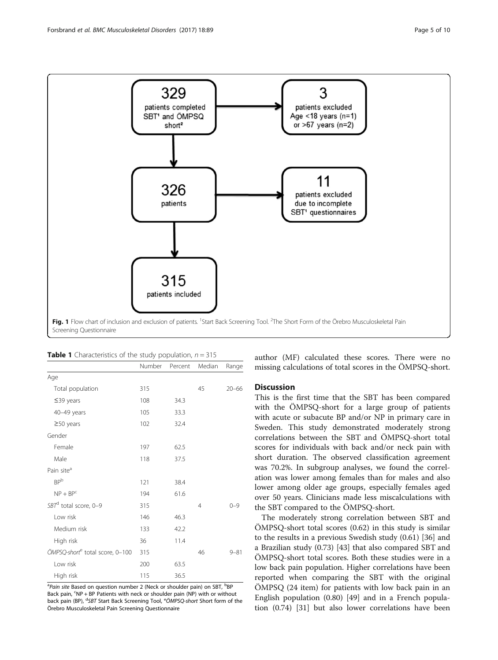<span id="page-4-0"></span>

|                                             | Number | Percent | Median         | Range     |
|---------------------------------------------|--------|---------|----------------|-----------|
| Age                                         |        |         |                |           |
| Total population                            | 315    |         | 45             | $20 - 66$ |
| $\leq$ 39 years                             | 108    | 34.3    |                |           |
| 40-49 years                                 | 105    | 33.3    |                |           |
| $\geq$ 50 years                             | 102    | 32.4    |                |           |
| Gender                                      |        |         |                |           |
| Female                                      | 197    | 62.5    |                |           |
| Male                                        | 118    | 37.5    |                |           |
| Pain site <sup>a</sup>                      |        |         |                |           |
| <b>BP</b> b                                 | 121    | 38.4    |                |           |
| $NP + BPc$                                  | 194    | 61.6    |                |           |
| SBT <sup>d</sup> total score, 0-9           | 315    |         | $\overline{4}$ | $() - 9$  |
| Low risk                                    | 146    | 46.3    |                |           |
| Medium risk                                 | 133    | 42.2    |                |           |
| High risk                                   | 36     | 11.4    |                |           |
| ÖMPSQ-short <sup>e</sup> total score, 0-100 | 315    |         | 46             | $9 - 81$  |
| Low risk                                    | 200    | 63.5    |                |           |
| High risk                                   | 115    | 36.5    |                |           |

<sup>a</sup>Pain site Based on question number 2 (Neck or shoulder pain) on SBT, <sup>b</sup>BP Back pain, <sup>c</sup>NP + BP Patients with neck or shoulder pain (NP) with or without back pain (BP), <sup>d</sup>SBT Start Back Screening Tool, <sup>e</sup>ÖMPSQ-short Short form of the Örebro Musculoskeletal Pain Screening Questionnaire

author (MF) calculated these scores. There were no missing calculations of total scores in the ÖMPSQ-short.

### **Discussion**

This is the first time that the SBT has been compared with the ÖMPSQ-short for a large group of patients with acute or subacute BP and/or NP in primary care in Sweden. This study demonstrated moderately strong correlations between the SBT and ÖMPSQ-short total scores for individuals with back and/or neck pain with short duration. The observed classification agreement was 70.2%. In subgroup analyses, we found the correlation was lower among females than for males and also lower among older age groups, especially females aged over 50 years. Clinicians made less miscalculations with the SBT compared to the ÖMPSQ-short.

The moderately strong correlation between SBT and ÖMPSQ-short total scores (0.62) in this study is similar to the results in a previous Swedish study (0.61) [[36](#page-8-0)] and a Brazilian study (0.73) [[43\]](#page-8-0) that also compared SBT and ÖMPSQ-short total scores. Both these studies were in a low back pain population. Higher correlations have been reported when comparing the SBT with the original ÖMPSQ (24 item) for patients with low back pain in an English population (0.80) [[49](#page-9-0)] and in a French population (0.74) [\[31](#page-8-0)] but also lower correlations have been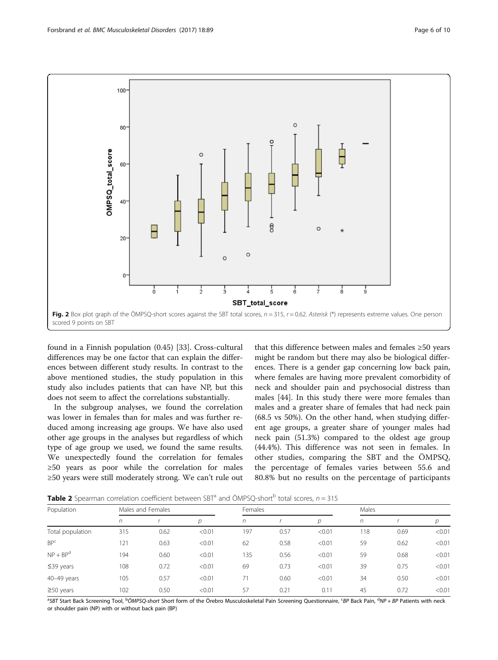<span id="page-5-0"></span>

found in a Finnish population (0.45) [[33\]](#page-8-0). Cross-cultural differences may be one factor that can explain the differences between different study results. In contrast to the above mentioned studies, the study population in this study also includes patients that can have NP, but this does not seem to affect the correlations substantially.

In the subgroup analyses, we found the correlation was lower in females than for males and was further reduced among increasing age groups. We have also used other age groups in the analyses but regardless of which type of age group we used, we found the same results. We unexpectedly found the correlation for females ≥50 years as poor while the correlation for males ≥50 years were still moderately strong. We can't rule out

that this difference between males and females ≥50 years might be random but there may also be biological differences. There is a gender gap concerning low back pain, where females are having more prevalent comorbidity of neck and shoulder pain and psychosocial distress than males [\[44](#page-8-0)]. In this study there were more females than males and a greater share of females that had neck pain (68.5 vs 50%). On the other hand, when studying different age groups, a greater share of younger males had neck pain (51.3%) compared to the oldest age group (44.4%). This difference was not seen in females. In other studies, comparing the SBT and the ÖMPSQ, the percentage of females varies between 55.6 and 80.8% but no results on the percentage of participants

**Table 2** Spearman correlation coefficient between SBT<sup>a</sup> and ÖMPSQ-short<sup>b</sup> total scores,  $n = 315$ 

| Population       | Males and Females |      |        | Females |      |        | Males |      |        |
|------------------|-------------------|------|--------|---------|------|--------|-------|------|--------|
|                  | n                 |      | D      | n       |      | р      | n     |      | р      |
| Total population | 315               | 0.62 | < 0.01 | 197     | 0.57 | < 0.01 | 118   | 0.69 | < 0.01 |
| BP <sup>c</sup>  | 121               | 0.63 | < 0.01 | 62      | 0.58 | < 0.01 | 59    | 0.62 | < 0.01 |
| $NP + BPd$       | 194               | 0.60 | < 0.01 | 135     | 0.56 | < 0.01 | 59    | 0.68 | < 0.01 |
| $\leq$ 39 years  | 108               | 0.72 | < 0.01 | 69      | 0.73 | < 0.01 | 39    | 0.75 | < 0.01 |
| 40-49 years      | 105               | 0.57 | < 0.01 |         | 0.60 | < 0.01 | 34    | 0.50 | < 0.01 |
| $\geq$ 50 years  | 102               | 0.50 | < 0.01 | 57      | 0.21 | 0.11   | 45    | 0.72 | < 0.01 |

<sup>a</sup>SBT Start Back Screening Tool, <sup>b</sup>ÖMPSQ-sh*ort S*hort form of the Örebro Musculoskeletal Pain Screening Questionnaire, <sup>c</sup>BP Back Pain, <sup>d</sup>NP + BP Patients with neck or shoulder pain (NP) with or without back pain (BP)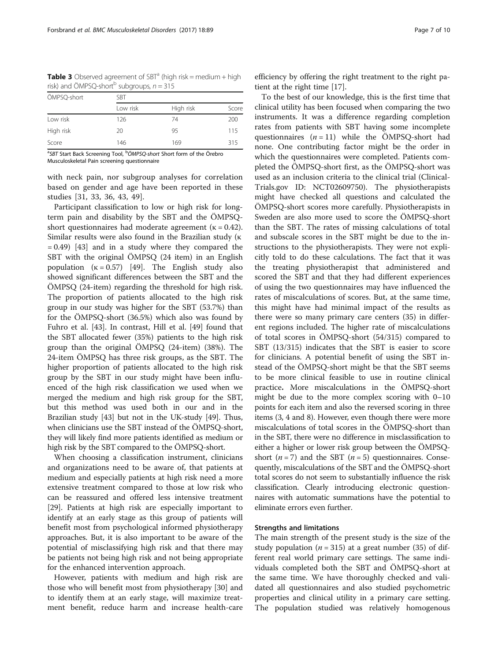<span id="page-6-0"></span>**Table 3** Observed agreement of SBT<sup>a</sup> (high risk = medium + high risk) and ÖMPSQ-short<sup>b</sup> subgroups,  $n = 315$ 

| ÖMPSQ-short | <b>SBT</b> |           |       |  |  |
|-------------|------------|-----------|-------|--|--|
|             | Low risk   | High risk | Score |  |  |
| Low risk    | 126        | 74        | 200   |  |  |
| High risk   | 20         | 95        | 115   |  |  |
| Score       | 146        | 169       | 315   |  |  |

<sup>a</sup>SBT Start Back Screening Tool, <sup>b</sup>ÖMPSQ-short Short form of the Örebro Musculoskeletal Pain screening questionnaire

with neck pain, nor subgroup analyses for correlation based on gender and age have been reported in these studies [[31, 33, 36](#page-8-0), [43](#page-8-0), [49](#page-9-0)].

Participant classification to low or high risk for longterm pain and disability by the SBT and the ÖMPSQshort questionnaires had moderate agreement ( $\kappa = 0.42$ ). Similar results were also found in the Brazilian study (κ  $= 0.49$  [[43](#page-8-0)] and in a study where they compared the SBT with the original ÖMPSQ (24 item) in an English population  $(\kappa = 0.57)$  [\[49](#page-9-0)]. The English study also showed significant differences between the SBT and the ÖMPSQ (24-item) regarding the threshold for high risk. The proportion of patients allocated to the high risk group in our study was higher for the SBT (53.7%) than for the ÖMPSQ-short (36.5%) which also was found by Fuhro et al. [[43](#page-8-0)]. In contrast, Hill et al. [[49\]](#page-9-0) found that the SBT allocated fewer (35%) patients to the high risk group than the original ÖMPSQ (24-item) (38%). The 24-item ÖMPSQ has three risk groups, as the SBT. The higher proportion of patients allocated to the high risk group by the SBT in our study might have been influenced of the high risk classification we used when we merged the medium and high risk group for the SBT, but this method was used both in our and in the Brazilian study [\[43\]](#page-8-0) but not in the UK-study [\[49\]](#page-9-0). Thus, when clinicians use the SBT instead of the ÖMPSQ-short, they will likely find more patients identified as medium or high risk by the SBT compared to the ÖMPSQ-short.

When choosing a classification instrument, clinicians and organizations need to be aware of, that patients at medium and especially patients at high risk need a more extensive treatment compared to those at low risk who can be reassured and offered less intensive treatment [[29\]](#page-8-0). Patients at high risk are especially important to identify at an early stage as this group of patients will benefit most from psychological informed physiotherapy approaches. But, it is also important to be aware of the potential of misclassifying high risk and that there may be patients not being high risk and not being appropriate for the enhanced intervention approach.

However, patients with medium and high risk are those who will benefit most from physiotherapy [\[30](#page-8-0)] and to identify them at an early stage, will maximize treatment benefit, reduce harm and increase health-care efficiency by offering the right treatment to the right patient at the right time [[17](#page-8-0)].

To the best of our knowledge, this is the first time that clinical utility has been focused when comparing the two instruments. It was a difference regarding completion rates from patients with SBT having some incomplete questionnaires  $(n = 11)$  while the ÖMPSQ-short had none. One contributing factor might be the order in which the questionnaires were completed. Patients completed the ÖMPSQ-short first, as the ÖMPSQ-short was used as an inclusion criteria to the clinical trial (Clinical-Trials.gov ID: NCT02609750). The physiotherapists might have checked all questions and calculated the ÖMPSQ-short scores more carefully. Physiotherapists in Sweden are also more used to score the ÖMPSQ-short than the SBT. The rates of missing calculations of total and subscale scores in the SBT might be due to the instructions to the physiotherapists. They were not explicitly told to do these calculations. The fact that it was the treating physiotherapist that administered and scored the SBT and that they had different experiences of using the two questionnaires may have influenced the rates of miscalculations of scores. But, at the same time, this might have had minimal impact of the results as there were so many primary care centers (35) in different regions included. The higher rate of miscalculations of total scores in ÖMPSQ-short (54/315) compared to SBT (13/315) indicates that the SBT is easier to score for clinicians. A potential benefit of using the SBT instead of the ÖMPSQ-short might be that the SBT seems to be more clinical feasible to use in routine clinical practice. More miscalculations in the ÖMPSQ-short might be due to the more complex scoring with 0–10 points for each item and also the reversed scoring in three items (3, 4 and 8). However, even though there were more miscalculations of total scores in the ÖMPSQ-short than in the SBT, there were no difference in misclassification to either a higher or lower risk group between the ÖMPSQshort ( $n = 7$ ) and the SBT ( $n = 5$ ) questionnaires. Consequently, miscalculations of the SBT and the ÖMPSQ-short total scores do not seem to substantially influence the risk classification. Clearly introducing electronic questionnaires with automatic summations have the potential to eliminate errors even further.

# Strengths and limitations

The main strength of the present study is the size of the study population ( $n = 315$ ) at a great number (35) of different real world primary care settings. The same individuals completed both the SBT and ÖMPSQ-short at the same time. We have thoroughly checked and validated all questionnaires and also studied psychometric properties and clinical utility in a primary care setting. The population studied was relatively homogenous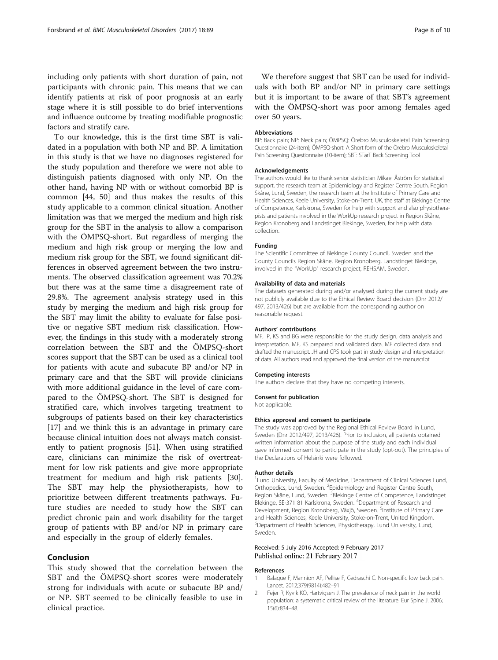<span id="page-7-0"></span>including only patients with short duration of pain, not participants with chronic pain. This means that we can identify patients at risk of poor prognosis at an early stage where it is still possible to do brief interventions and influence outcome by treating modifiable prognostic factors and stratify care.

To our knowledge, this is the first time SBT is validated in a population with both NP and BP. A limitation in this study is that we have no diagnoses registered for the study population and therefore we were not able to distinguish patients diagnosed with only NP. On the other hand, having NP with or without comorbid BP is common [[44](#page-8-0), [50\]](#page-9-0) and thus makes the results of this study applicable to a common clinical situation. Another limitation was that we merged the medium and high risk group for the SBT in the analysis to allow a comparison with the ÖMPSQ-short. But regardless of merging the medium and high risk group or merging the low and medium risk group for the SBT, we found significant differences in observed agreement between the two instruments. The observed classification agreement was 70.2% but there was at the same time a disagreement rate of 29.8%. The agreement analysis strategy used in this study by merging the medium and high risk group for the SBT may limit the ability to evaluate for false positive or negative SBT medium risk classification. However, the findings in this study with a moderately strong correlation between the SBT and the ÖMPSQ-short scores support that the SBT can be used as a clinical tool for patients with acute and subacute BP and/or NP in primary care and that the SBT will provide clinicians with more additional guidance in the level of care compared to the ÖMPSQ-short. The SBT is designed for stratified care, which involves targeting treatment to subgroups of patients based on their key characteristics [[17\]](#page-8-0) and we think this is an advantage in primary care because clinical intuition does not always match consistently to patient prognosis [[51\]](#page-9-0). When using stratified care, clinicians can minimize the risk of overtreatment for low risk patients and give more appropriate treatment for medium and high risk patients [\[30](#page-8-0)]. The SBT may help the physiotherapists, how to prioritize between different treatments pathways. Future studies are needed to study how the SBT can predict chronic pain and work disability for the target group of patients with BP and/or NP in primary care and especially in the group of elderly females.

### Conclusion

This study showed that the correlation between the SBT and the ÖMPSQ-short scores were moderately strong for individuals with acute or subacute BP and/ or NP. SBT seemed to be clinically feasible to use in clinical practice.

We therefore suggest that SBT can be used for individuals with both BP and/or NP in primary care settings but it is important to be aware of that SBT's agreement with the ÖMPSQ-short was poor among females aged over 50 years.

#### Abbreviations

BP: Back pain; NP: Neck pain; ÖMPSQ: Örebro Musculoskeletal Pain Screening Questionnaire (24-item); ÖMPSQ-short: A Short form of the Örebro Musculoskeletal Pain Screening Questionnaire (10-item); SBT: STarT Back Screening Tool

#### Acknowledgements

The authors would like to thank senior statistician Mikael Åström for statistical support, the research team at Epidemiology and Register Centre South, Region Skåne, Lund, Sweden, the research team at the Institute of Primary Care and Health Sciences, Keele University, Stoke-on-Trent, UK, the staff at Blekinge Centre of Competence, Karlskrona, Sweden for help with support and also physiotherapists and patients involved in the WorkUp research project in Region Skåne, Region Kronoberg and Landstinget Blekinge, Sweden, for help with data collection.

#### Funding

The Scientific Committee of Blekinge County Council, Sweden and the County Councils Region Skåne, Region Kronoberg, Landstinget Blekinge, involved in the "WorkUp" research project, REHSAM, Sweden.

#### Availability of data and materials

The datasets generated during and/or analysed during the current study are not publicly available due to the Ethical Review Board decision (Dnr 2012/ 497, 2013/426) but are available from the corresponding author on reasonable request.

#### Authors' contributions

MF, IP, KS and BG were responsible for the study design, data analysis and interpretation. MF, KS prepared and validated data. MF collected data and drafted the manuscript. JH and CPS took part in study design and interpretation of data. All authors read and approved the final version of the manuscript.

#### Competing interests

The authors declare that they have no competing interests.

#### Consent for publication

Not applicable.

#### Ethics approval and consent to participate

The study was approved by the Regional Ethical Review Board in Lund, Sweden (Dnr 2012/497, 2013/426). Prior to inclusion, all patients obtained written information about the purpose of the study and each individual gave informed consent to participate in the study (opt-out). The principles of the Declarations of Helsinki were followed.

#### Author details

<sup>1</sup> Lund University, Faculty of Medicine, Department of Clinical Sciences Lund Orthopedics, Lund, Sweden. <sup>2</sup>Epidemiology and Register Centre South Region Skåne, Lund, Sweden. <sup>3</sup>Blekinge Centre of Competence, Landstinget Blekinge, SE-371 81 Karlskrona, Sweden. <sup>4</sup> Department of Research and Development, Region Kronoberg, Växjö, Sweden. <sup>5</sup>Institute of Primary Care and Health Sciences, Keele University, Stoke-on-Trent, United Kingdom. 6 Department of Health Sciences, Physiotherapy, Lund University, Lund, Sweden.

### Received: 5 July 2016 Accepted: 9 February 2017 Published online: 21 February 2017

#### References

- 1. Balague F, Mannion AF, Pellise F, Cedraschi C. Non-specific low back pain. Lancet. 2012;379(9814):482–91.
- 2. Fejer R, Kyvik KO, Hartvigsen J. The prevalence of neck pain in the world population: a systematic critical review of the literature. Eur Spine J. 2006; 15(6):834–48.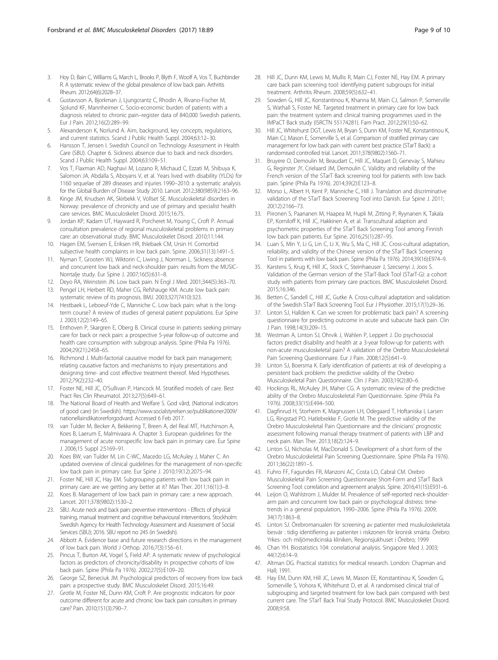- <span id="page-8-0"></span>3. Hoy D, Bain C, Williams G, March L, Brooks P, Blyth F, Woolf A, Vos T, Buchbinder R. A systematic review of the global prevalence of low back pain. Arthritis Rheum. 2012;64(6):2028–37.
- 4. Gustavsson A, Bjorkman J, Ljungcrantz C, Rhodin A, Rivano-Fischer M, Sjolund KF, Mannheimer C. Socio-economic burden of patients with a diagnosis related to chronic pain–register data of 840,000 Swedish patients. Eur J Pain. 2012;16(2):289–99.
- Alexanderson K, Norlund A. Aim, background, key concepts, regulations, and current statistics. Scand J Public Health Suppl. 2004;63:12–30.
- 6. Hansson T, Jensen I. Swedish Council on Technology Assessment in Health Care (SBU). Chapter 6. Sickness absence due to back and neck disorders. Scand J Public Health Suppl. 2004;63:109–51.
- 7. Vos T, Flaxman AD, Naghavi M, Lozano R, Michaud C, Ezzati M, Shibuya K, Salomon JA, Abdalla S, Aboyans V, et al. Years lived with disability (YLDs) for 1160 sequelae of 289 diseases and injuries 1990–2010: a systematic analysis for the Global Burden of Disease Study 2010. Lancet. 2012;380(9859):2163–96.
- 8. Kinge JM, Knudsen AK, Skirbekk V, Vollset SE. Musculoskeletal disorders in Norway: prevalence of chronicity and use of primary and specialist health care services. BMC Musculoskelet Disord. 2015;16:75.
- 9. Jordan KP, Kadam UT, Hayward R, Porcheret M, Young C, Croft P. Annual consultation prevalence of regional musculoskeletal problems in primary care: an observational study. BMC Musculoskelet Disord. 2010;11:144.
- 10. Hagen EM, Svensen E, Eriksen HR, Ihlebaek CM, Ursin H. Comorbid subjective health complaints in low back pain. Spine. 2006;31(13):1491–5.
- 11. Nyman T, Grooten WJ, Wiktorin C, Liwing J, Norrman L. Sickness absence and concurrent low back and neck-shoulder pain: results from the MUSIC-Norrtalje study. Eur Spine J. 2007;16(5):631–8.
- 12. Deyo RA, Weinstein JN. Low back pain. N Engl J Med. 2001;344(5):363–70.
- 13. Pengel LH, Herbert RD, Maher CG, Refshauge KM. Acute low back pain: systematic review of its prognosis. BMJ. 2003;327(7410):323.
- 14. Hestbaek L, Leboeuf-Yde C, Manniche C. Low back pain: what is the longterm course? A review of studies of general patient populations. Eur Spine J. 2003;12(2):149–65.
- 15. Enthoven P, Skargren E, Oberg B. Clinical course in patients seeking primary care for back or neck pain: a prospective 5-year follow-up of outcome and health care consumption with subgroup analysis. Spine (Phila Pa 1976). 2004;29(21):2458–65.
- 16. Richmond J. Multi-factorial causative model for back pain management; relating causative factors and mechanisms to injury presentations and designing time- and cost effective treatment thereof. Med Hypotheses. 2012;79(2):232–40.
- 17. Foster NE, Hill JC, O'Sullivan P, Hancock M. Stratified models of care. Best Pract Res Clin Rheumatol. 2013;27(5):649–61.
- 18. The National Board of Health and Welfare S. God vård, (National indicators of good care) (in Swedish). [https://www.socialstyrelsen.se/publikationer2009/](https://www.socialstyrelsen.se/publikationer2009/nationellaindikatorerforgodvard) [nationellaindikatorerforgodvard](https://www.socialstyrelsen.se/publikationer2009/nationellaindikatorerforgodvard). Accessed 6 Feb 2017.
- 19. van Tulder M, Becker A, Bekkering T, Breen A, del Real MT, Hutchinson A, Koes B, Laerum E, Malmivaara A. Chapter 3. European guidelines for the management of acute nonspecific low back pain in primary care. Eur Spine J. 2006;15 Suppl 2:S169–91.
- 20. Koes BW, van Tulder M, Lin C-WC, Macedo LG, McAuley J, Maher C. An updated overview of clinical guidelines for the management of non-specific low back pain in primary care. Eur Spine J. 2010;19(12):2075–94.
- 21. Foster NE, Hill JC, Hay EM. Subgrouping patients with low back pain in primary care: are we getting any better at it? Man Ther. 2011;16(1):3–8.
- 22. Koes B. Management of low back pain in primary care: a new approach. Lancet. 2011;378(9802):1530–2.
- 23. SBU. Acute neck and back pain: preventive interventions Effects of physical training, manual treatment and cognitive behavioural interventions. Stockholm: Swedish Agency for Health Technology Assessment and Assessment of Social Services (SBU); 2016. SBU report no 245 (in Swedish).
- 24. Abbott A. Evidence base and future research directions in the management of low back pain. World J Orthop. 2016;7(3):156–61.
- 25. Pincus T, Burton AK, Vogel S, Field AP. A systematic review of psychological factors as predictors of chronicity/disability in prospective cohorts of low back pain. Spine (Phila Pa 1976). 2002;27(5):E109–20.
- 26. George SZ, Beneciuk JM. Psychological predictors of recovery from low back pain: a prospective study. BMC Musculoskelet Disord. 2015;16:49.
- 27. Grotle M, Foster NE, Dunn KM, Croft P. Are prognostic indicators for poor outcome different for acute and chronic low back pain consulters in primary care? Pain. 2010;151(3):790–7.
- 28. Hill JC, Dunn KM, Lewis M, Mullis R, Main CJ, Foster NE, Hay EM. A primary care back pain screening tool: identifying patient subgroups for initial treatment. Arthritis Rheum. 2008;59(5):632–41.
- 29. Sowden G, Hill JC, Konstantinou K, Khanna M, Main CJ, Salmon P, Somerville S, Wathall S, Foster NE. Targeted treatment in primary care for low back pain: the treatment system and clinical training programmes used in the IMPaCT Back study (ISRCTN 55174281). Fam Pract. 2012;29(1):50–62.
- 30. Hill JC, Whitehurst DGT, Lewis M, Bryan S, Dunn KM, Foster NE, Konstantinou K, Main CJ, Mason E, Somerville S, et al. Comparison of stratified primary care management for low back pain with current best practice (STarT Back): a randomised controlled trial. Lancet. 2011;378(9802):1560–71.
- 31. Bruyere O, Demoulin M, Beaudart C, Hill JC, Maquet D, Genevay S, Mahieu G, Reginster JY, Crielaard JM, Demoulin C. Validity and reliability of the French version of the STarT Back screening tool for patients with low back pain. Spine (Phila Pa 1976). 2014;39(2):E123–8.
- 32. Morso L, Albert H, Kent P, Manniche C, Hill J. Translation and discriminative validation of the STarT Back Screening Tool into Danish. Eur Spine J. 2011; 20(12):2166–73.
- 33. Piironen S, Paananen M, Haapea M, Hupli M, Zitting P, Ryynanen K, Takala EP, Korniloff K, Hill JC, Hakkinen A, et al. Transcultural adaption and psychometric properties of the STarT Back Screening Tool among Finnish low back pain patients. Eur Spine. 2016;25(1):287–95.
- 34. Luan S, Min Y, Li G, Lin C, Li X, Wu S, Ma C, Hill JC. Cross-cultural adaptation, reliability, and validity of the Chinese version of the STarT Back Screening Tool in patients with low back pain. Spine (Phila Pa 1976). 2014;39(16):E974–9.
- 35. Karstens S, Krug K, Hill JC, Stock C, Steinhaeuser J, Szecsenyi J, Joos S. Validation of the German version of the STarT-Back Tool (STarT-G): a cohort study with patients from primary care practices. BMC Musculoskelet Disord. 2015;16:346.
- 36. Betten C, Sandell C, Hill JC, Gutke A. Cross-cultural adaptation and validation of the Swedish STarT Back Screening Tool. Eur J Physiother. 2015;17(1):29–36.
- 37. Linton SJ, Hallden K. Can we screen for problematic back pain? A screening questionnaire for predicting outcome in acute and subacute back pain. Clin J Pain. 1998;14(3):209–15.
- 38. Westman A, Linton SJ, Ohrvik J, Wahlen P, Leppert J. Do psychosocial factors predict disability and health at a 3-year follow-up for patients with non-acute musculoskeletal pain? A validation of the Orebro Musculoskeletal Pain Screening Questionnaire. Eur J Pain. 2008;12(5):641–9.
- 39. Linton SJ, Boersma K. Early identification of patients at risk of developing a persistent back problem: the predictive validity of the Orebro Musculoskeletal Pain Questionnaire. Clin J Pain. 2003;19(2):80–6.
- 40. Hockings RL, McAuley JH, Maher CG. A systematic review of the predictive ability of the Orebro Musculoskeletal Pain Questionnaire. Spine (Phila Pa 1976). 2008;33(15):E494–500.
- 41. Dagfinrud H, Storheim K, Magnussen LH, Odegaard T, Hoftaniska I, Larsen LG, Ringstad PO, Hatlebrekke F, Grotle M. The predictive validity of the Orebro Musculoskeletal Pain Questionnaire and the clinicians' prognostic assessment following manual therapy treatment of patients with LBP and neck pain. Man Ther. 2013;18(2):124–9.
- 42. Linton SJ, Nicholas M, MacDonald S. Development of a short form of the Orebro Musculoskeletal Pain Screening Questionnaire. Spine (Phila Pa 1976). 2011;36(22):1891–5.
- 43. Fuhro FF, Fagundes FR, Manzoni AC, Costa LO, Cabral CM. Orebro Musculoskeletal Pain Screening Questionnaire Short-Form and STarT Back Screening Tool: correlation and agreement analysis. Spine. 2016;41(15):E931–6.
- 44. Leijon O, Wahlstrom J, Mulder M. Prevalence of self-reported neck-shoulderarm pain and concurrent low back pain or psychological distress: timetrends in a general population, 1990–2006. Spine (Phila Pa 1976). 2009; 34(17):1863–8.
- 45. Linton SJ. Örebromanualen för screening av patienter med muskuloskeletala besvär : tidig identifiering av patienter i riskzonen för kronisk smärta. Örebro: Yrkes- och miljömedicinska kliniken, Regionsjukhuset i Örebro; 1999
- 46. Chan YH. Biostatistics 104: correlational analysis. Singapore Med J. 2003; 44(12):614–9.
- 47. Altman DG. Practical statistics for medical research. London: Chapman and Hall; 1991.
- Hay EM, Dunn KM, Hill JC, Lewis M, Mason EE, Konstantinou K, Sowden G, Somerville S, Vohora K, Whitehurst D, et al. A randomised clinical trial of subgrouping and targeted treatment for low back pain compared with best current care. The STarT Back Trial Study Protocol. BMC Musculoskelet Disord. 2008;9:58.